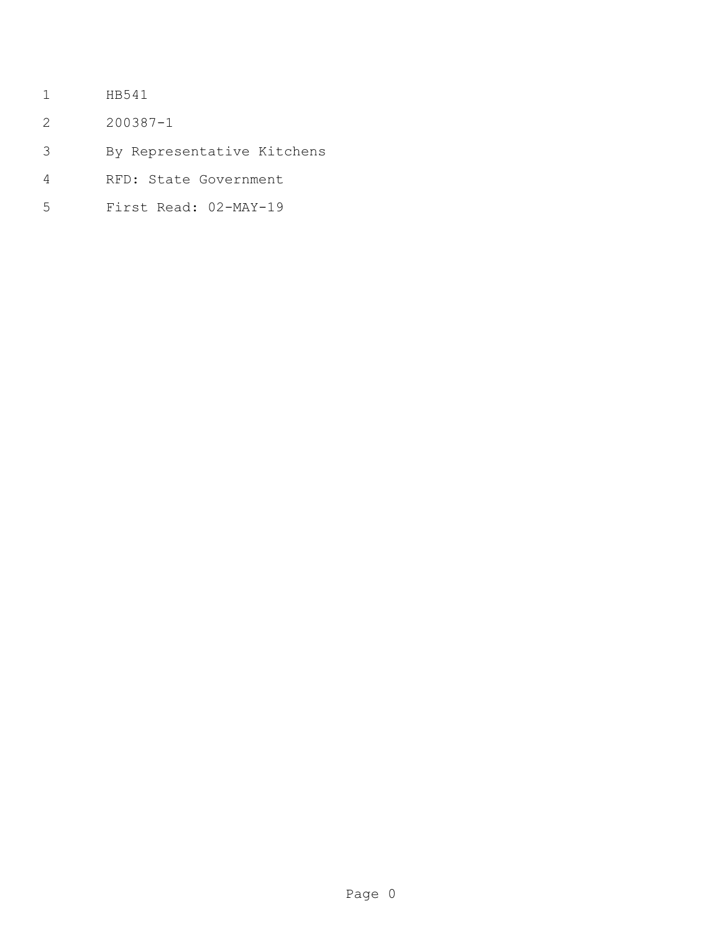- HB541
- 200387-1
- By Representative Kitchens
- RFD: State Government
- First Read: 02-MAY-19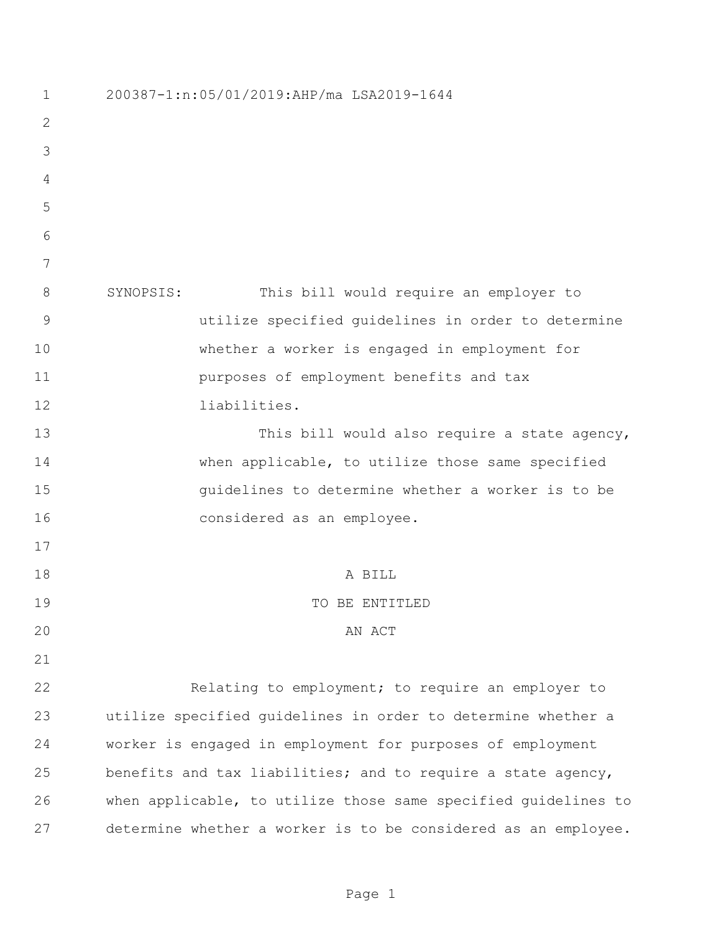| $\mathbf 1$    | 200387-1:n:05/01/2019:AHP/ma LSA2019-1644                      |
|----------------|----------------------------------------------------------------|
| 2              |                                                                |
| 3              |                                                                |
| 4              |                                                                |
| 5              |                                                                |
| 6              |                                                                |
| 7              |                                                                |
| 8              | SYNOPSIS:<br>This bill would require an employer to            |
| $\overline{9}$ | utilize specified quidelines in order to determine             |
| 10             | whether a worker is engaged in employment for                  |
| 11             | purposes of employment benefits and tax                        |
| 12             | liabilities.                                                   |
| 13             | This bill would also require a state agency,                   |
| 14             | when applicable, to utilize those same specified               |
| 15             | quidelines to determine whether a worker is to be              |
| 16             | considered as an employee.                                     |
| 17             |                                                                |
| 18             | A BILL                                                         |
| 19             | TO BE ENTITLED                                                 |
| 20             | AN ACT                                                         |
| 21             |                                                                |
| 22             | Relating to employment; to require an employer to              |
| 23             | utilize specified quidelines in order to determine whether a   |
| 24             | worker is engaged in employment for purposes of employment     |
| 25             | benefits and tax liabilities; and to require a state agency,   |
| 26             | when applicable, to utilize those same specified guidelines to |
| 27             | determine whether a worker is to be considered as an employee. |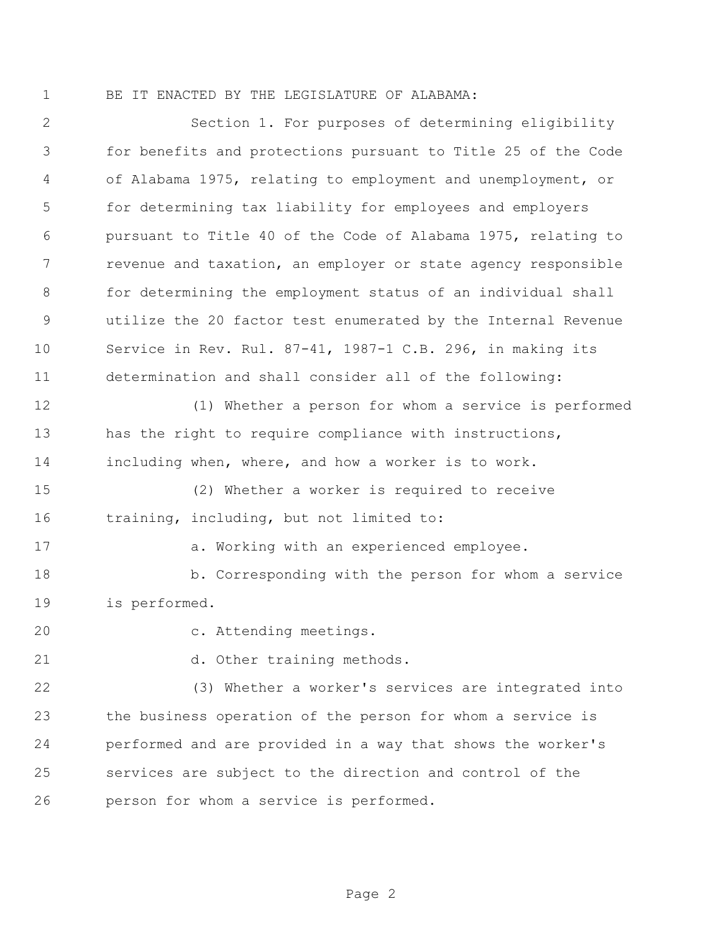BE IT ENACTED BY THE LEGISLATURE OF ALABAMA:

 Section 1. For purposes of determining eligibility for benefits and protections pursuant to Title 25 of the Code of Alabama 1975, relating to employment and unemployment, or for determining tax liability for employees and employers pursuant to Title 40 of the Code of Alabama 1975, relating to revenue and taxation, an employer or state agency responsible for determining the employment status of an individual shall utilize the 20 factor test enumerated by the Internal Revenue Service in Rev. Rul. 87-41, 1987-1 C.B. 296, in making its determination and shall consider all of the following: (1) Whether a person for whom a service is performed 13 has the right to require compliance with instructions, including when, where, and how a worker is to work. (2) Whether a worker is required to receive training, including, but not limited to: 17 a. Working with an experienced employee. b. Corresponding with the person for whom a service is performed. c. Attending meetings. 21 d. Other training methods. (3) Whether a worker's services are integrated into the business operation of the person for whom a service is performed and are provided in a way that shows the worker's services are subject to the direction and control of the person for whom a service is performed.

Page 2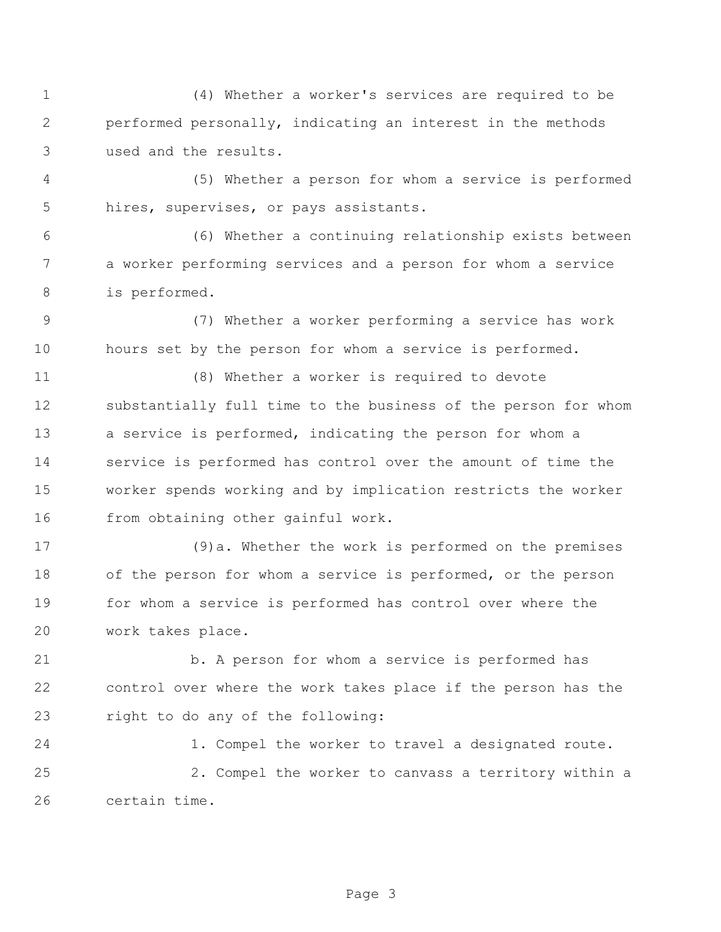(4) Whether a worker's services are required to be performed personally, indicating an interest in the methods used and the results.

 (5) Whether a person for whom a service is performed hires, supervises, or pays assistants.

 (6) Whether a continuing relationship exists between a worker performing services and a person for whom a service is performed.

 (7) Whether a worker performing a service has work hours set by the person for whom a service is performed.

 (8) Whether a worker is required to devote substantially full time to the business of the person for whom a service is performed, indicating the person for whom a service is performed has control over the amount of time the worker spends working and by implication restricts the worker from obtaining other gainful work.

 (9)a. Whether the work is performed on the premises of the person for whom a service is performed, or the person for whom a service is performed has control over where the work takes place.

 b. A person for whom a service is performed has control over where the work takes place if the person has the right to do any of the following:

 1. Compel the worker to travel a designated route. 2. Compel the worker to canvass a territory within a certain time.

Page 3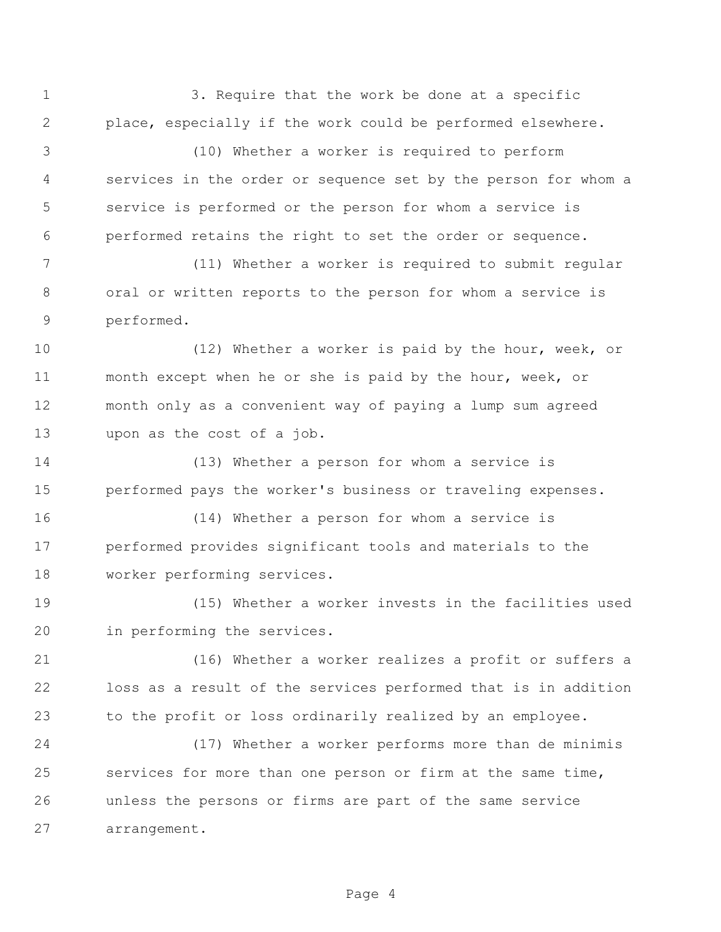1 3. Require that the work be done at a specific place, especially if the work could be performed elsewhere.

 (10) Whether a worker is required to perform services in the order or sequence set by the person for whom a service is performed or the person for whom a service is performed retains the right to set the order or sequence.

 (11) Whether a worker is required to submit regular oral or written reports to the person for whom a service is performed.

 (12) Whether a worker is paid by the hour, week, or month except when he or she is paid by the hour, week, or month only as a convenient way of paying a lump sum agreed upon as the cost of a job.

 (13) Whether a person for whom a service is performed pays the worker's business or traveling expenses.

 (14) Whether a person for whom a service is performed provides significant tools and materials to the worker performing services.

 (15) Whether a worker invests in the facilities used in performing the services.

 (16) Whether a worker realizes a profit or suffers a loss as a result of the services performed that is in addition to the profit or loss ordinarily realized by an employee.

 (17) Whether a worker performs more than de minimis services for more than one person or firm at the same time, unless the persons or firms are part of the same service arrangement.